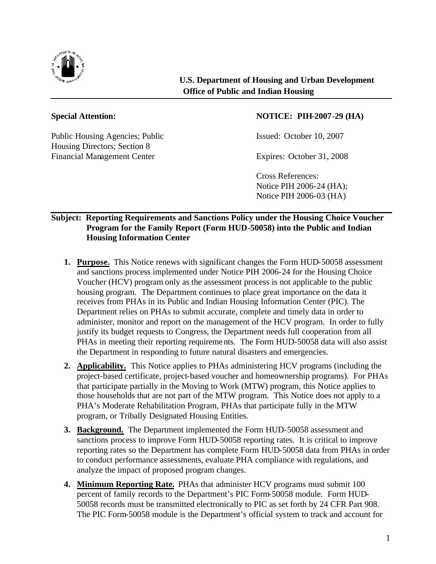

Public Housing Agencies; Public Issued: October 10, 2007 Housing Directors; Section 8 Financial Management Center Expires: October 31, 2008

## **Special Attention: NOTICE: PIH-2007-29 (HA)**

Cross References: Notice PIH 2006-24 (HA); Notice PIH 2006-03 (HA)

## **Subject: Reporting Requirements and Sanctions Policy under the Housing Choice Voucher Program for the Family Report (Form HUD-50058) into the Public and Indian Housing Information Center**

- **1. Purpose.** This Notice renews with significant changes the Form HUD-50058 assessment and sanctions process implemented under Notice PIH 2006-24 for the Housing Choice Voucher (HCV) program only as the assessment process is not applicable to the public housing program. The Department continues to place great importance on the data it receives from PHAs in its Public and Indian Housing Information Center (PIC). The Department relies on PHAs to submit accurate, complete and timely data in order to administer, monitor and report on the management of the HCV program. In order to fully justify its budget requests to Congress, the Department needs full cooperation from all PHAs in meeting their reporting requirements. The Form HUD-50058 data will also assist the Department in responding to future natural disasters and emergencies.
- **2. Applicability.** This Notice applies to PHAs administering HCV programs (including the project-based certificate, project-based voucher and homeownership programs). For PHAs that participate partially in the Moving to Work (MTW) program, this Notice applies to those households that are not part of the MTW program. This Notice does not apply to a PHA's Moderate Rehabilitation Program, PHAs that participate fully in the MTW program, or Tribally Designated Housing Entities.
- **3. Background.** The Department implemented the Form HUD-50058 assessment and sanctions process to improve Form HUD-50058 reporting rates. It is critical to improve reporting rates so the Department has complete Form HUD-50058 data from PHAs in order to conduct performance assessments, evaluate PHA compliance with regulations, and analyze the impact of proposed program changes.
- **4. Minimum Reporting Rate.** PHAs that administer HCV programs must submit 100 percent of family records to the Department's PIC Form-50058 module. Form HUD-50058 records must be transmitted electronically to PIC as set forth by 24 CFR Part 908. The PIC Form-50058 module is the Department's official system to track and account for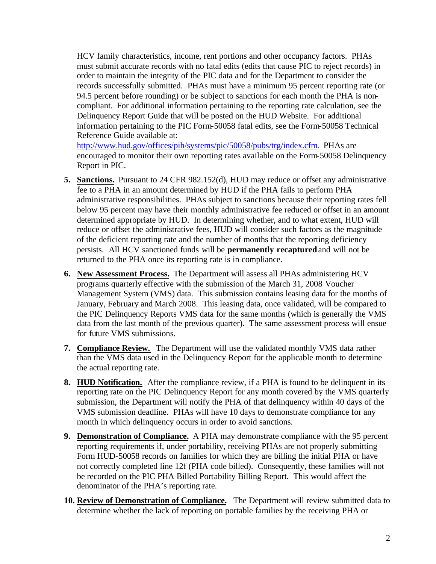HCV family characteristics, income, rent portions and other occupancy factors. PHAs must submit accurate records with no fatal edits (edits that cause PIC to reject records) in order to maintain the integrity of the PIC data and for the Department to consider the records successfully submitted. PHAs must have a minimum 95 percent reporting rate (or 94.5 percent before rounding) or be subject to sanctions for each month the PHA is noncompliant. For additional information pertaining to the reporting rate calculation, see the Delinquency Report Guide that will be posted on the HUD Website. For additional information pertaining to the PIC Form-50058 fatal edits, see the Form-50058 Technical Reference Guide available at:

http://www.hud.gov/offices/pih/systems/pic/50058/pubs/trg/index.cfm. PHAs are encouraged to monitor their own reporting rates available on the Form-50058 Delinquency Report in PIC.

- **5. Sanctions.** Pursuant to 24 CFR 982.152(d), HUD may reduce or offset any administrative fee to a PHA in an amount determined by HUD if the PHA fails to perform PHA administrative responsibilities. PHAs subject to sanctions because their reporting rates fell below 95 percent may have their monthly administrative fee reduced or offset in an amount determined appropriate by HUD. In determining whether, and to what extent, HUD will reduce or offset the administrative fees, HUD will consider such factors as the magnitude of the deficient reporting rate and the number of months that the reporting deficiency persists. All HCV sanctioned funds will be **permanently recaptured** and will not be returned to the PHA once its reporting rate is in compliance.
- **6. New Assessment Process.** The Department will assess all PHAs administering HCV programs quarterly effective with the submission of the March 31, 2008 Voucher Management System (VMS) data. This submission contains leasing data for the months of January, February and March 2008. This leasing data, once validated, will be compared to the PIC Delinquency Reports VMS data for the same months (which is generally the VMS data from the last month of the previous quarter). The same assessment process will ensue for future VMS submissions.
- **7. Compliance Review.** The Department will use the validated monthly VMS data rather than the VMS data used in the Delinquency Report for the applicable month to determine the actual reporting rate.
- **8. HUD Notification.** After the compliance review, if a PHA is found to be delinquent in its reporting rate on the PIC Delinquency Report for any month covered by the VMS quarterly submission, the Department will notify the PHA of that delinquency within 40 days of the VMS submission deadline. PHAs will have 10 days to demonstrate compliance for any month in which delinquency occurs in order to avoid sanctions.
- **9. Demonstration of Compliance.** A PHA may demonstrate compliance with the 95 percent reporting requirements if, under portability, receiving PHAs are not properly submitting Form HUD-50058 records on families for which they are billing the initial PHA or have not correctly completed line 12f (PHA code billed). Consequently, these families will not be recorded on the PIC PHA Billed Portability Billing Report. This would affect the denominator of the PHA's reporting rate.
- **10. Review of Demonstration of Compliance.** The Department will review submitted data to determine whether the lack of reporting on portable families by the receiving PHA or